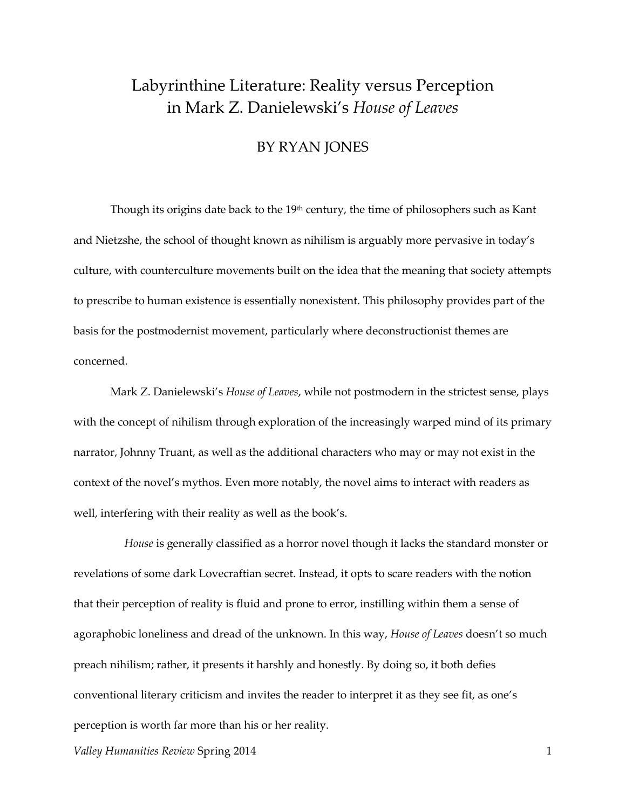## Labyrinthine Literature: Reality versus Perception in Mark Z. Danielewski's *House of Leaves*

## BY RYAN JONES

Though its origins date back to the  $19<sup>th</sup>$  century, the time of philosophers such as Kant and Nietzshe, the school of thought known as nihilism is arguably more pervasive in today's culture, with counterculture movements built on the idea that the meaning that society attempts to prescribe to human existence is essentially nonexistent. This philosophy provides part of the basis for the postmodernist movement, particularly where deconstructionist themes are concerned.

 Mark Z. Danielewski's *House of Leaves*, while not postmodern in the strictest sense, plays with the concept of nihilism through exploration of the increasingly warped mind of its primary narrator, Johnny Truant, as well as the additional characters who may or may not exist in the context of the novel's mythos. Even more notably, the novel aims to interact with readers as well, interfering with their reality as well as the book's.

 *House* is generally classified as a horror novel though it lacks the standard monster or revelations of some dark Lovecraftian secret. Instead, it opts to scare readers with the notion that their perception of reality is fluid and prone to error, instilling within them a sense of agoraphobic loneliness and dread of the unknown. In this way, *House of Leaves* doesn't so much preach nihilism; rather, it presents it harshly and honestly. By doing so, it both defies conventional literary criticism and invites the reader to interpret it as they see fit, as one's perception is worth far more than his or her reality.

*Valley Humanities Review Spring 2014* 1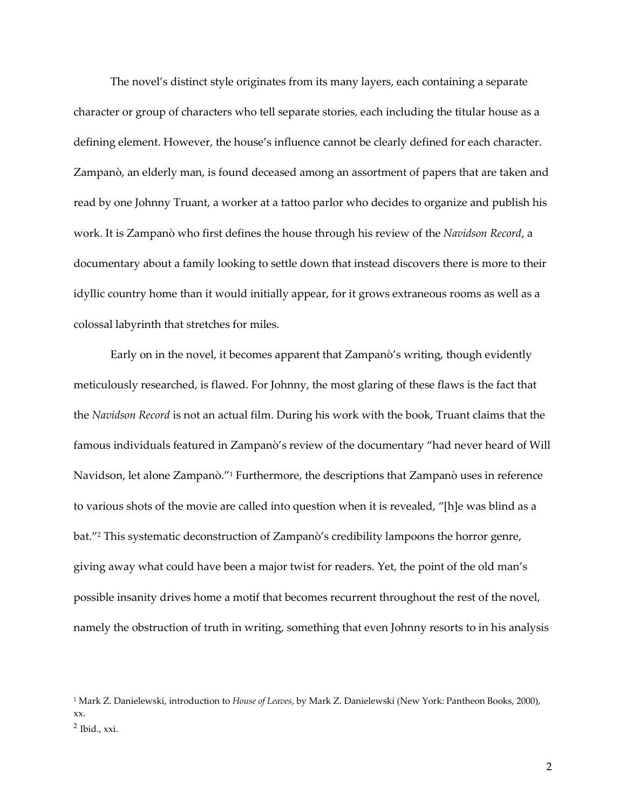The novel's distinct style originates from its many layers, each containing a separate character or group of characters who tell separate stories, each including the titular house as a defining element. However, the house's influence cannot be clearly defined for each character. Zampanò, an elderly man, is found deceased among an assortment of papers that are taken and read by one Johnny Truant, a worker at a tattoo parlor who decides to organize and publish his work. It is Zampanò who first defines the house through his review of the *Navidson Record*, a documentary about a family looking to settle down that instead discovers there is more to their idyllic country home than it would initially appear, for it grows extraneous rooms as well as a colossal labyrinth that stretches for miles.

Early on in the novel, it becomes apparent that Zampanò's writing, though evidently meticulously researched, is flawed. For Johnny, the most glaring of these flaws is the fact that the *Navidson Record* is not an actual film. During his work with the book, Truant claims that the famous individuals featured in Zampanò's review of the documentary "had never heard of Will Navidson, let alone Zampanò." <sup>1</sup> Furthermore, the descriptions that Zampanò uses in reference to various shots of the movie are called into question when it is revealed, "[h]e was blind as a bat."<sup>2</sup> This systematic deconstruction of Zampanò's credibility lampoons the horror genre, giving away what could have been a major twist for readers. Yet, the point of the old man's possible insanity drives home a motif that becomes recurrent throughout the rest of the novel, namely the obstruction of truth in writing, something that even Johnny resorts to in his analysis

<sup>1</sup> Mark Z. Danielewski, introduction to *House of Leaves*, by Mark Z. Danielewski (New York: Pantheon Books, 2000), xx. 2 Ibid., xxi.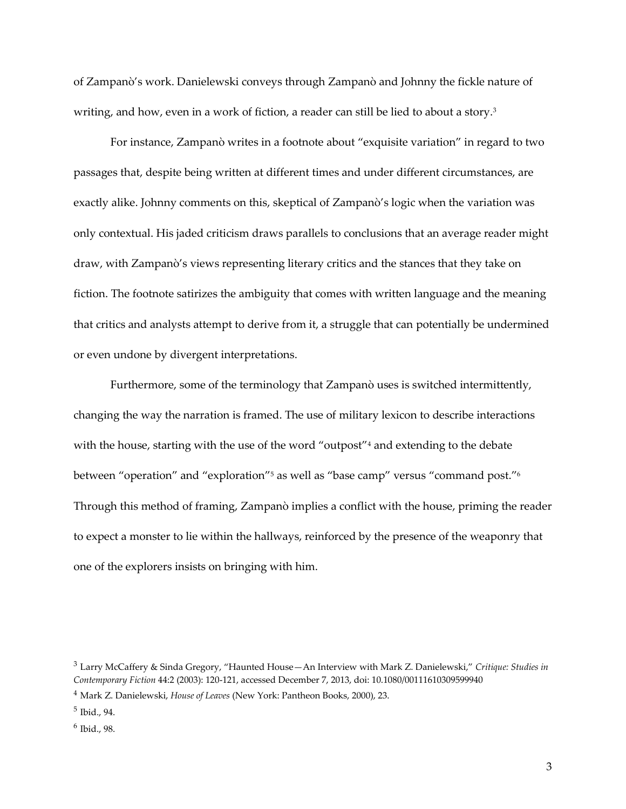of Zampanò's work. Danielewski conveys through Zampanò and Johnny the fickle nature of writing, and how, even in a work of fiction, a reader can still be lied to about a story.<sup>3</sup>

For instance, Zampanò writes in a footnote about "exquisite variation" in regard to two passages that, despite being written at different times and under different circumstances, are exactly alike. Johnny comments on this, skeptical of Zampanò's logic when the variation was only contextual. His jaded criticism draws parallels to conclusions that an average reader might draw, with Zampanò's views representing literary critics and the stances that they take on fiction. The footnote satirizes the ambiguity that comes with written language and the meaning that critics and analysts attempt to derive from it, a struggle that can potentially be undermined or even undone by divergent interpretations.

Furthermore, some of the terminology that Zampanò uses is switched intermittently, changing the way the narration is framed. The use of military lexicon to describe interactions with the house, starting with the use of the word "outpost"<sup>4</sup> and extending to the debate between "operation" and "exploration"<sup>5</sup> as well as "base camp" versus "command post." 6 Through this method of framing, Zampanò implies a conflict with the house, priming the reader to expect a monster to lie within the hallways, reinforced by the presence of the weaponry that one of the explorers insists on bringing with him.

<sup>3</sup> Larry McCaffery & Sinda Gregory, "Haunted House—An Interview with Mark Z. Danielewski," *Critique: Studies in Contemporary Fiction* 44:2 (2003): 120-121, accessed December 7, 2013, doi: 10.1080/00111610309599940

<sup>4</sup> Mark Z. Danielewski, *House of Leaves* (New York: Pantheon Books, 2000), 23.

<sup>5</sup> Ibid., 94.

<sup>6</sup> Ibid., 98.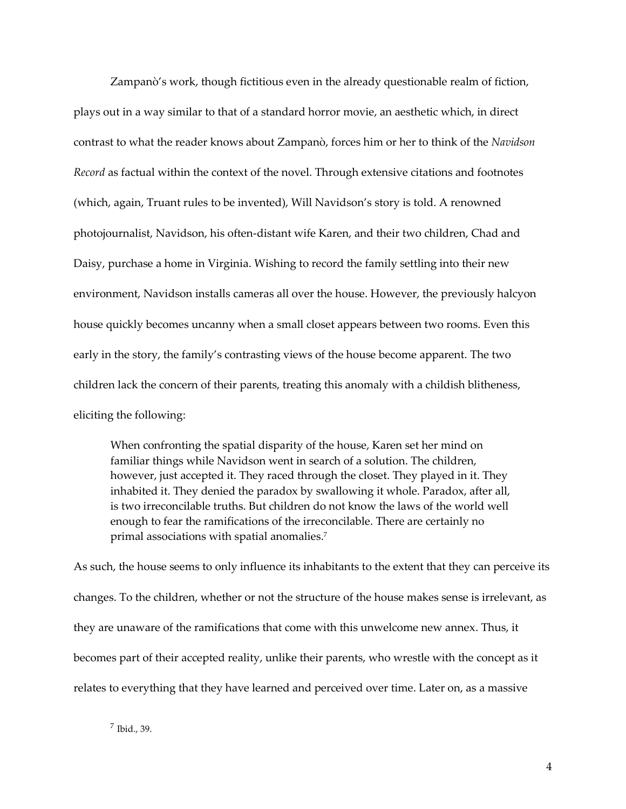Zampanò's work, though fictitious even in the already questionable realm of fiction, plays out in a way similar to that of a standard horror movie, an aesthetic which, in direct contrast to what the reader knows about Zampanò, forces him or her to think of the *Navidson Record* as factual within the context of the novel. Through extensive citations and footnotes (which, again, Truant rules to be invented), Will Navidson's story is told. A renowned photojournalist, Navidson, his often-distant wife Karen, and their two children, Chad and Daisy, purchase a home in Virginia. Wishing to record the family settling into their new environment, Navidson installs cameras all over the house. However, the previously halcyon house quickly becomes uncanny when a small closet appears between two rooms. Even this early in the story, the family's contrasting views of the house become apparent. The two children lack the concern of their parents, treating this anomaly with a childish blitheness, eliciting the following:

When confronting the spatial disparity of the house, Karen set her mind on familiar things while Navidson went in search of a solution. The children, however, just accepted it. They raced through the closet. They played in it. They inhabited it. They denied the paradox by swallowing it whole. Paradox, after all, is two irreconcilable truths. But children do not know the laws of the world well enough to fear the ramifications of the irreconcilable. There are certainly no primal associations with spatial anomalies. 7

As such, the house seems to only influence its inhabitants to the extent that they can perceive its changes. To the children, whether or not the structure of the house makes sense is irrelevant, as they are unaware of the ramifications that come with this unwelcome new annex. Thus, it becomes part of their accepted reality, unlike their parents, who wrestle with the concept as it relates to everything that they have learned and perceived over time. Later on, as a massive

 $^7$  Ibid., 39.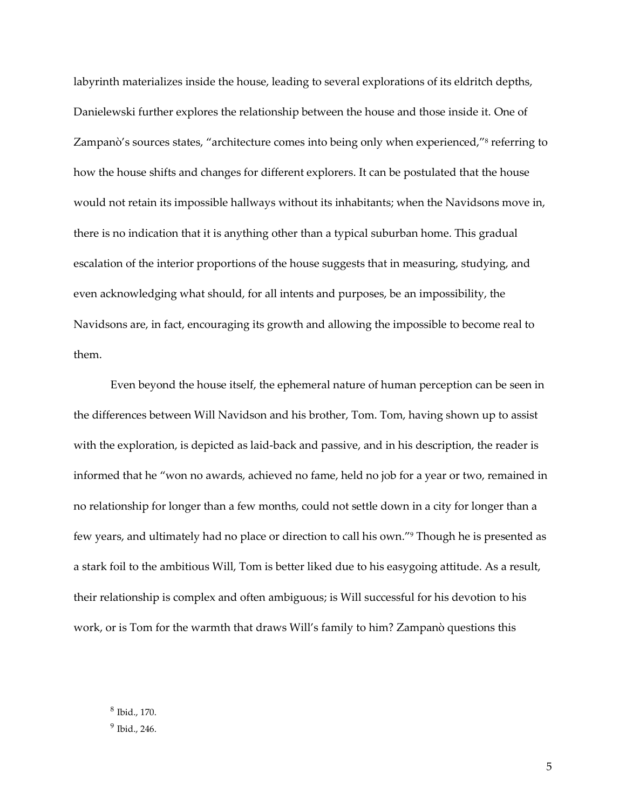labyrinth materializes inside the house, leading to several explorations of its eldritch depths, Danielewski further explores the relationship between the house and those inside it. One of Zampanò's sources states, "architecture comes into being only when experienced," <sup>8</sup> referring to how the house shifts and changes for different explorers. It can be postulated that the house would not retain its impossible hallways without its inhabitants; when the Navidsons move in, there is no indication that it is anything other than a typical suburban home. This gradual escalation of the interior proportions of the house suggests that in measuring, studying, and even acknowledging what should, for all intents and purposes, be an impossibility, the Navidsons are, in fact, encouraging its growth and allowing the impossible to become real to them.

Even beyond the house itself, the ephemeral nature of human perception can be seen in the differences between Will Navidson and his brother, Tom. Tom, having shown up to assist with the exploration, is depicted as laid-back and passive, and in his description, the reader is informed that he "won no awards, achieved no fame, held no job for a year or two, remained in no relationship for longer than a few months, could not settle down in a city for longer than a few years, and ultimately had no place or direction to call his own."<sup>9</sup> Though he is presented as a stark foil to the ambitious Will, Tom is better liked due to his easygoing attitude. As a result, their relationship is complex and often ambiguous; is Will successful for his devotion to his work, or is Tom for the warmth that draws Will's family to him? Zampanò questions this

8 Ibid., 170. 9 Ibid., 246.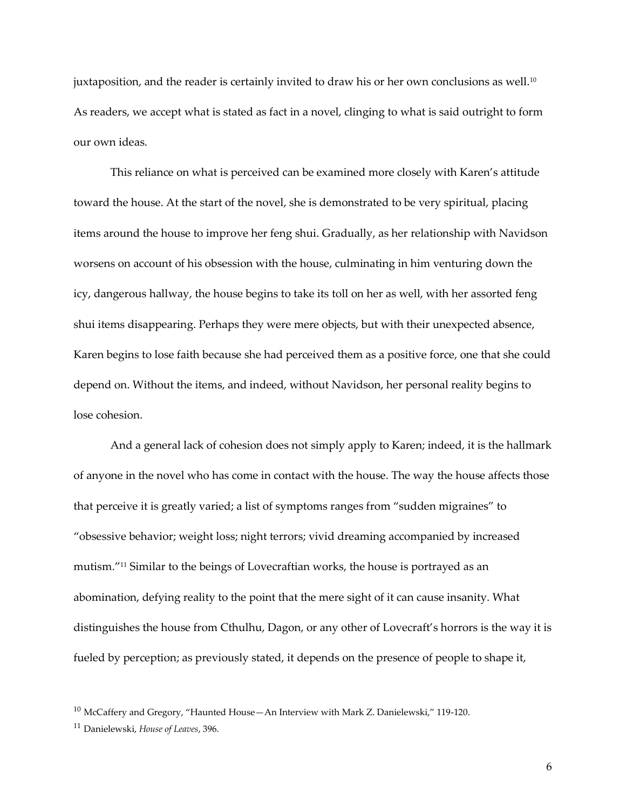juxtaposition, and the reader is certainly invited to draw his or her own conclusions as well.<sup>10</sup> As readers, we accept what is stated as fact in a novel, clinging to what is said outright to form our own ideas.

This reliance on what is perceived can be examined more closely with Karen's attitude toward the house. At the start of the novel, she is demonstrated to be very spiritual, placing items around the house to improve her feng shui. Gradually, as her relationship with Navidson worsens on account of his obsession with the house, culminating in him venturing down the icy, dangerous hallway, the house begins to take its toll on her as well, with her assorted feng shui items disappearing. Perhaps they were mere objects, but with their unexpected absence, Karen begins to lose faith because she had perceived them as a positive force, one that she could depend on. Without the items, and indeed, without Navidson, her personal reality begins to lose cohesion.

And a general lack of cohesion does not simply apply to Karen; indeed, it is the hallmark of anyone in the novel who has come in contact with the house. The way the house affects those that perceive it is greatly varied; a list of symptoms ranges from "sudden migraines" to "obsessive behavior; weight loss; night terrors; vivid dreaming accompanied by increased mutism." <sup>11</sup> Similar to the beings of Lovecraftian works, the house is portrayed as an abomination, defying reality to the point that the mere sight of it can cause insanity. What distinguishes the house from Cthulhu, Dagon, or any other of Lovecraft's horrors is the way it is fueled by perception; as previously stated, it depends on the presence of people to shape it,

 $10$  McCaffery and Gregory, "Haunted House - An Interview with Mark Z. Danielewski," 119-120.

<sup>11</sup> Danielewski, *House of Leaves*, 396.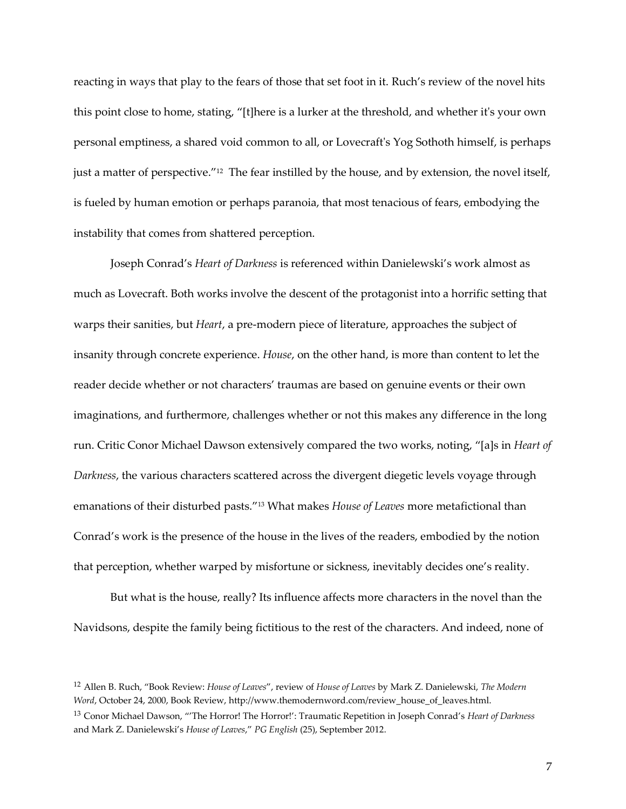reacting in ways that play to the fears of those that set foot in it. Ruch's review of the novel hits this point close to home, stating, "[t]here is a lurker at the threshold, and whether it's your own personal emptiness, a shared void common to all, or Lovecraft's Yog Sothoth himself, is perhaps just a matter of perspective."<sup>12</sup> The fear instilled by the house, and by extension, the novel itself, is fueled by human emotion or perhaps paranoia, that most tenacious of fears, embodying the instability that comes from shattered perception.

Joseph Conrad's *Heart of Darkness* is referenced within Danielewski's work almost as much as Lovecraft. Both works involve the descent of the protagonist into a horrific setting that warps their sanities, but *Heart*, a pre-modern piece of literature, approaches the subject of insanity through concrete experience. *House*, on the other hand, is more than content to let the reader decide whether or not characters' traumas are based on genuine events or their own imaginations, and furthermore, challenges whether or not this makes any difference in the long run. Critic Conor Michael Dawson extensively compared the two works, noting, "[a]s in *Heart of Darkness*, the various characters scattered across the divergent diegetic levels voyage through emanations of their disturbed pasts."<sup>13</sup> What makes *House of Leaves* more metafictional than Conrad's work is the presence of the house in the lives of the readers, embodied by the notion that perception, whether warped by misfortune or sickness, inevitably decides one's reality.

But what is the house, really? Its influence affects more characters in the novel than the Navidsons, despite the family being fictitious to the rest of the characters. And indeed, none of

<sup>12</sup> Allen B. Ruch, "Book Review: *House of Leaves*", review of *House of Leaves* by Mark Z. Danielewski, *The Modern Word*, October 24, 2000, Book Review, http://www.themodernword.com/review\_house\_of\_leaves.html.

<sup>13</sup> Conor Michael Dawson, "'The Horror! The Horror!': Traumatic Repetition in Joseph Conrad's *Heart of Darkness*  and Mark Z. Danielewski's *House of Leaves*," *PG English* (25), September 2012.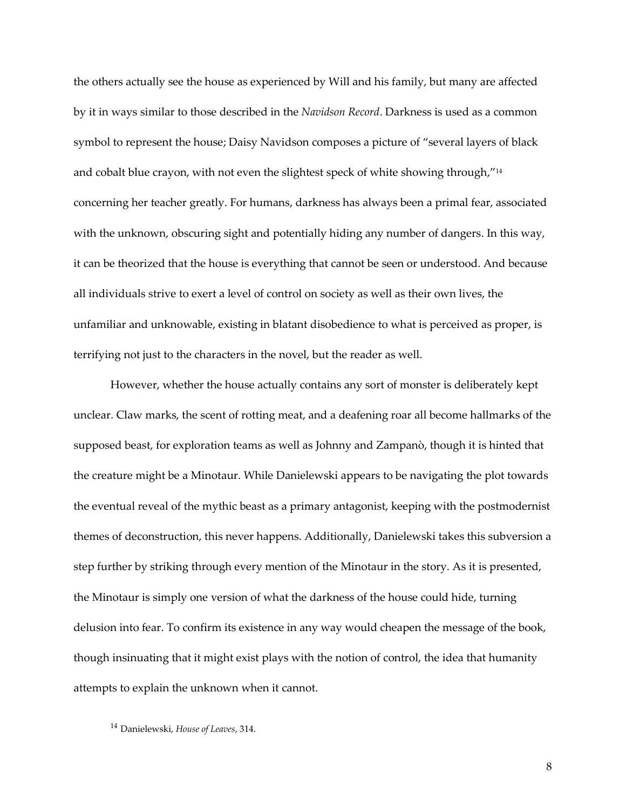the others actually see the house as experienced by Will and his family, but many are affected by it in ways similar to those described in the *Navidson Record*. Darkness is used as a common symbol to represent the house; Daisy Navidson composes a picture of "several layers of black and cobalt blue crayon, with not even the slightest speck of white showing through," 14 concerning her teacher greatly. For humans, darkness has always been a primal fear, associated with the unknown, obscuring sight and potentially hiding any number of dangers. In this way, it can be theorized that the house is everything that cannot be seen or understood. And because all individuals strive to exert a level of control on society as well as their own lives, the unfamiliar and unknowable, existing in blatant disobedience to what is perceived as proper, is terrifying not just to the characters in the novel, but the reader as well.

However, whether the house actually contains any sort of monster is deliberately kept unclear. Claw marks, the scent of rotting meat, and a deafening roar all become hallmarks of the supposed beast, for exploration teams as well as Johnny and Zampanò, though it is hinted that the creature might be a Minotaur. While Danielewski appears to be navigating the plot towards the eventual reveal of the mythic beast as a primary antagonist, keeping with the postmodernist themes of deconstruction, this never happens. Additionally, Danielewski takes this subversion a step further by striking through every mention of the Minotaur in the story. As it is presented, the Minotaur is simply one version of what the darkness of the house could hide, turning delusion into fear. To confirm its existence in any way would cheapen the message of the book, though insinuating that it might exist plays with the notion of control, the idea that humanity attempts to explain the unknown when it cannot.

<sup>14</sup> Danielewski, *House of Leaves*, 314.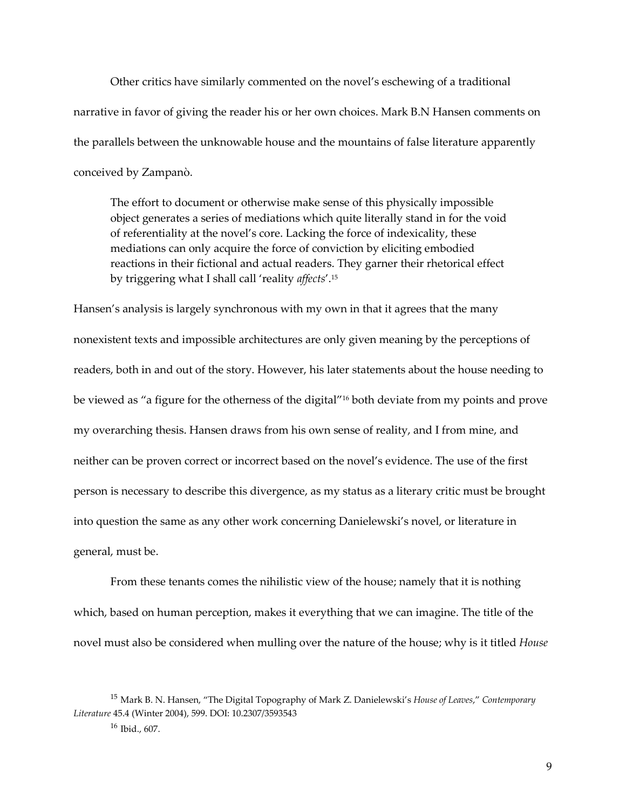Other critics have similarly commented on the novel's eschewing of a traditional narrative in favor of giving the reader his or her own choices. Mark B.N Hansen comments on the parallels between the unknowable house and the mountains of false literature apparently conceived by Zampanò.

The effort to document or otherwise make sense of this physically impossible object generates a series of mediations which quite literally stand in for the void of referentiality at the novel's core. Lacking the force of indexicality, these mediations can only acquire the force of conviction by eliciting embodied reactions in their fictional and actual readers. They garner their rhetorical effect by triggering what I shall call 'reality *affects*'.<sup>15</sup>

Hansen's analysis is largely synchronous with my own in that it agrees that the many nonexistent texts and impossible architectures are only given meaning by the perceptions of readers, both in and out of the story. However, his later statements about the house needing to be viewed as "a figure for the otherness of the digital"<sup>16</sup> both deviate from my points and prove my overarching thesis. Hansen draws from his own sense of reality, and I from mine, and neither can be proven correct or incorrect based on the novel's evidence. The use of the first person is necessary to describe this divergence, as my status as a literary critic must be brought into question the same as any other work concerning Danielewski's novel, or literature in general, must be.

From these tenants comes the nihilistic view of the house; namely that it is nothing which, based on human perception, makes it everything that we can imagine. The title of the novel must also be considered when mulling over the nature of the house; why is it titled *House* 

<sup>15</sup> Mark B. N. Hansen, "The Digital Topography of Mark Z. Danielewski's *House of Leaves*," *Contemporary Literature* 45.4 (Winter 2004), 599. DOI: 10.2307/3593543

 $16$  Ibid., 607.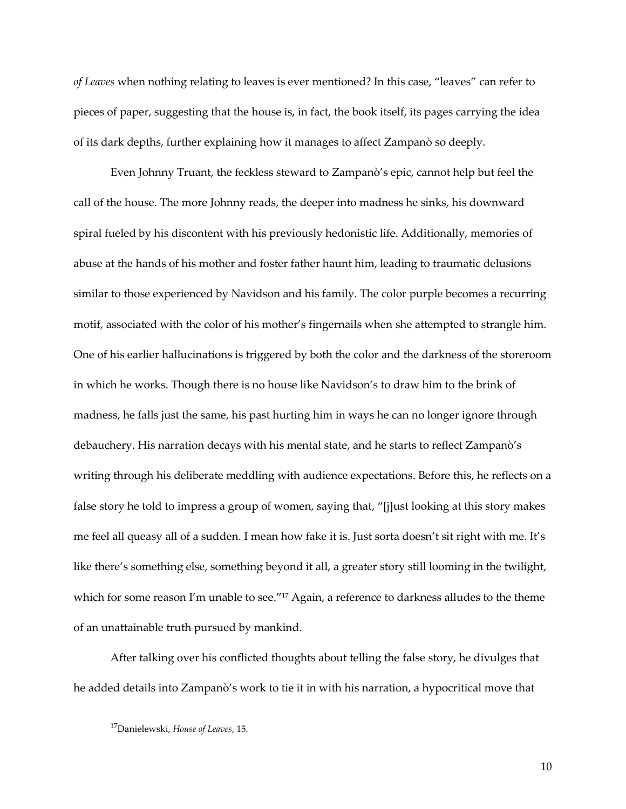*of Leaves* when nothing relating to leaves is ever mentioned? In this case, "leaves" can refer to pieces of paper, suggesting that the house is, in fact, the book itself, its pages carrying the idea of its dark depths, further explaining how it manages to affect Zampanò so deeply.

Even Johnny Truant, the feckless steward to Zampanò's epic, cannot help but feel the call of the house. The more Johnny reads, the deeper into madness he sinks, his downward spiral fueled by his discontent with his previously hedonistic life. Additionally, memories of abuse at the hands of his mother and foster father haunt him, leading to traumatic delusions similar to those experienced by Navidson and his family. The color purple becomes a recurring motif, associated with the color of his mother's fingernails when she attempted to strangle him. One of his earlier hallucinations is triggered by both the color and the darkness of the storeroom in which he works. Though there is no house like Navidson's to draw him to the brink of madness, he falls just the same, his past hurting him in ways he can no longer ignore through debauchery. His narration decays with his mental state, and he starts to reflect Zampanò's writing through his deliberate meddling with audience expectations. Before this, he reflects on a false story he told to impress a group of women, saying that, "[j]ust looking at this story makes me feel all queasy all of a sudden. I mean how fake it is. Just sorta doesn't sit right with me. It's like there's something else, something beyond it all, a greater story still looming in the twilight, which for some reason I'm unable to see." <sup>17</sup> Again, a reference to darkness alludes to the theme of an unattainable truth pursued by mankind.

After talking over his conflicted thoughts about telling the false story, he divulges that he added details into Zampanò's work to tie it in with his narration, a hypocritical move that

10

<sup>17</sup>Danielewski, *House of Leaves*, 15.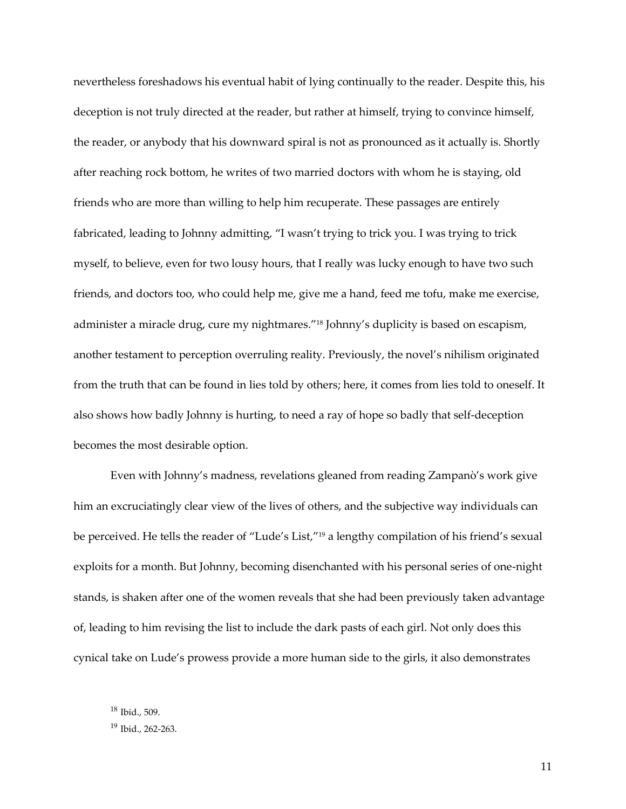nevertheless foreshadows his eventual habit of lying continually to the reader. Despite this, his deception is not truly directed at the reader, but rather at himself, trying to convince himself, the reader, or anybody that his downward spiral is not as pronounced as it actually is. Shortly after reaching rock bottom, he writes of two married doctors with whom he is staying, old friends who are more than willing to help him recuperate. These passages are entirely fabricated, leading to Johnny admitting, "I wasn't trying to trick you. I was trying to trick myself, to believe, even for two lousy hours, that I really was lucky enough to have two such friends, and doctors too, who could help me, give me a hand, feed me tofu, make me exercise, administer a miracle drug, cure my nightmares." <sup>18</sup> Johnny's duplicity is based on escapism, another testament to perception overruling reality. Previously, the novel's nihilism originated from the truth that can be found in lies told by others; here, it comes from lies told to oneself. It also shows how badly Johnny is hurting, to need a ray of hope so badly that self-deception becomes the most desirable option.

Even with Johnny's madness, revelations gleaned from reading Zampanò's work give him an excruciatingly clear view of the lives of others, and the subjective way individuals can be perceived. He tells the reader of "Lude's List," <sup>19</sup> a lengthy compilation of his friend's sexual exploits for a month. But Johnny, becoming disenchanted with his personal series of one-night stands, is shaken after one of the women reveals that she had been previously taken advantage of, leading to him revising the list to include the dark pasts of each girl. Not only does this cynical take on Lude's prowess provide a more human side to the girls, it also demonstrates

<sup>18</sup> Ibid., 509. <sup>19</sup> Ibid., 262-263.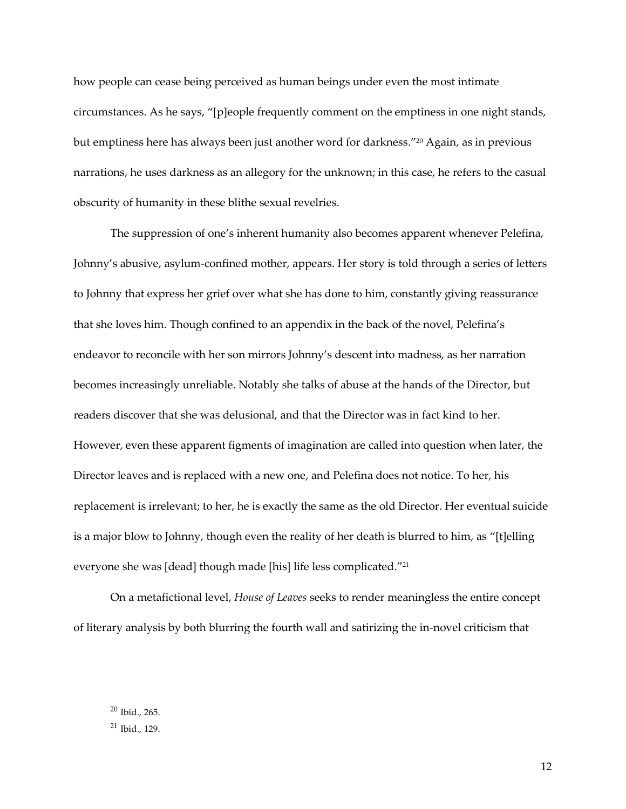how people can cease being perceived as human beings under even the most intimate circumstances. As he says, "[p]eople frequently comment on the emptiness in one night stands, but emptiness here has always been just another word for darkness." <sup>20</sup> Again, as in previous narrations, he uses darkness as an allegory for the unknown; in this case, he refers to the casual obscurity of humanity in these blithe sexual revelries.

The suppression of one's inherent humanity also becomes apparent whenever Pelefina, Johnny's abusive, asylum-confined mother, appears. Her story is told through a series of letters to Johnny that express her grief over what she has done to him, constantly giving reassurance that she loves him. Though confined to an appendix in the back of the novel, Pelefina's endeavor to reconcile with her son mirrors Johnny's descent into madness, as her narration becomes increasingly unreliable. Notably she talks of abuse at the hands of the Director, but readers discover that she was delusional, and that the Director was in fact kind to her. However, even these apparent figments of imagination are called into question when later, the Director leaves and is replaced with a new one, and Pelefina does not notice. To her, his replacement is irrelevant; to her, he is exactly the same as the old Director. Her eventual suicide is a major blow to Johnny, though even the reality of her death is blurred to him, as "[t]elling everyone she was [dead] though made [his] life less complicated." 21

On a metafictional level, *House of Leaves* seeks to render meaningless the entire concept of literary analysis by both blurring the fourth wall and satirizing the in-novel criticism that

<sup>20</sup> Ibid., 265.  $21$  Ibid., 129.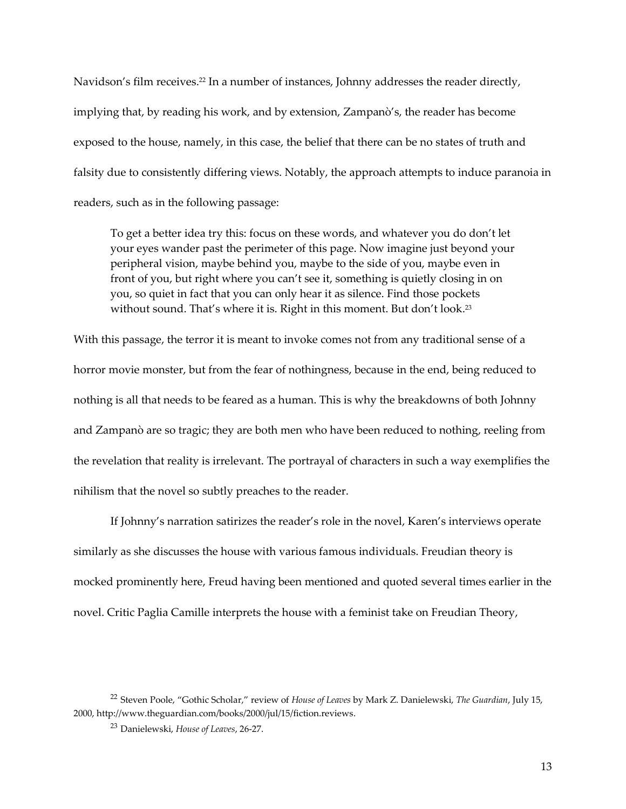Navidson's film receives.<sup>22</sup> In a number of instances, Johnny addresses the reader directly, implying that, by reading his work, and by extension, Zampanò's, the reader has become exposed to the house, namely, in this case, the belief that there can be no states of truth and falsity due to consistently differing views. Notably, the approach attempts to induce paranoia in readers, such as in the following passage:

To get a better idea try this: focus on these words, and whatever you do don't let your eyes wander past the perimeter of this page. Now imagine just beyond your peripheral vision, maybe behind you, maybe to the side of you, maybe even in front of you, but right where you can't see it, something is quietly closing in on you, so quiet in fact that you can only hear it as silence. Find those pockets without sound. That's where it is. Right in this moment. But don't look. 23

With this passage, the terror it is meant to invoke comes not from any traditional sense of a horror movie monster, but from the fear of nothingness, because in the end, being reduced to nothing is all that needs to be feared as a human. This is why the breakdowns of both Johnny and Zampanò are so tragic; they are both men who have been reduced to nothing, reeling from the revelation that reality is irrelevant. The portrayal of characters in such a way exemplifies the nihilism that the novel so subtly preaches to the reader.

If Johnny's narration satirizes the reader's role in the novel, Karen's interviews operate similarly as she discusses the house with various famous individuals. Freudian theory is mocked prominently here, Freud having been mentioned and quoted several times earlier in the novel. Critic Paglia Camille interprets the house with a feminist take on Freudian Theory,

<sup>22</sup> Steven Poole, "Gothic Scholar," review of *House of Leaves* by Mark Z. Danielewski, *The Guardian*, July 15, 2000, http://www.theguardian.com/books/2000/jul/15/fiction.reviews.

<sup>23</sup> Danielewski, *House of Leaves*, 26-27.